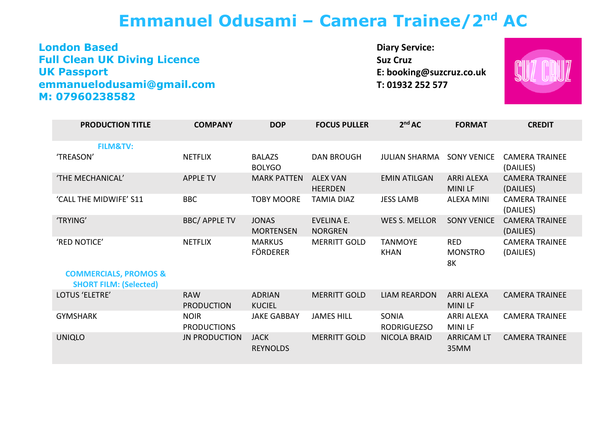## **Emmanuel Odusami – Camera Trainee/2nd AC**

**London Based Full Clean UK Diving Licence UK Passport emmanuelodusami@gmail.com M: 07960238582** 

**Diary Service: Suz Cruz E: booking@suzcruz.co.uk T: 01932 252 577**



| <b>PRODUCTION TITLE</b>                                           | <b>COMPANY</b>                    | <b>DOP</b>                       | <b>FOCUS PULLER</b>                 | 2 <sup>nd</sup> AC                 | <b>FORMAT</b>                      | <b>CREDIT</b>                      |
|-------------------------------------------------------------------|-----------------------------------|----------------------------------|-------------------------------------|------------------------------------|------------------------------------|------------------------------------|
| <b>FILM&amp;TV:</b>                                               |                                   |                                  |                                     |                                    |                                    |                                    |
| 'TREASON'                                                         | <b>NETFLIX</b>                    | <b>BALAZS</b><br><b>BOLYGO</b>   | <b>DAN BROUGH</b>                   | <b>JULIAN SHARMA</b>               | <b>SONY VENICE</b>                 | <b>CAMERA TRAINEE</b><br>(DAILIES) |
| 'THE MECHANICAL'                                                  | <b>APPLE TV</b>                   | <b>MARK PATTEN</b>               | <b>ALEX VAN</b><br><b>HEERDEN</b>   | <b>EMIN ATILGAN</b>                | <b>ARRI ALEXA</b><br><b>MINILF</b> | <b>CAMERA TRAINEE</b><br>(DAILIES) |
| 'CALL THE MIDWIFE' S11                                            | <b>BBC</b>                        | <b>TOBY MOORE</b>                | <b>TAMIA DIAZ</b>                   | <b>JESS LAMB</b>                   | <b>ALEXA MINI</b>                  | <b>CAMERA TRAINEE</b><br>(DAILIES) |
| 'TRYING'                                                          | <b>BBC/ APPLE TV</b>              | <b>JONAS</b><br><b>MORTENSEN</b> | <b>EVELINA E.</b><br><b>NORGREN</b> | <b>WES S. MELLOR</b>               | <b>SONY VENICE</b>                 | <b>CAMERA TRAINEE</b><br>(DAILIES) |
| 'RED NOTICE'                                                      | <b>NETFLIX</b>                    | <b>MARKUS</b><br><b>FÖRDERER</b> | <b>MERRITT GOLD</b>                 | <b>TANMOYE</b><br><b>KHAN</b>      | <b>RED</b><br><b>MONSTRO</b><br>8K | <b>CAMERA TRAINEE</b><br>(DAILIES) |
| <b>COMMERCIALS, PROMOS &amp;</b><br><b>SHORT FILM: (Selected)</b> |                                   |                                  |                                     |                                    |                                    |                                    |
| LOTUS 'ELETRE'                                                    | <b>RAW</b><br><b>PRODUCTION</b>   | <b>ADRIAN</b><br><b>KUCIEL</b>   | <b>MERRITT GOLD</b>                 | <b>LIAM REARDON</b>                | <b>ARRI ALEXA</b><br><b>MINILF</b> | <b>CAMERA TRAINEE</b>              |
| <b>GYMSHARK</b>                                                   | <b>NOIR</b><br><b>PRODUCTIONS</b> | <b>JAKE GABBAY</b>               | <b>JAMES HILL</b>                   | <b>SONIA</b><br><b>RODRIGUEZSO</b> | <b>ARRI ALEXA</b><br><b>MINILF</b> | <b>CAMERA TRAINEE</b>              |
| <b>UNIQLO</b>                                                     | <b>JN PRODUCTION</b>              | <b>JACK</b><br><b>REYNOLDS</b>   | <b>MERRITT GOLD</b>                 | <b>NICOLA BRAID</b>                | <b>ARRICAM LT</b><br>35MM          | <b>CAMERA TRAINEE</b>              |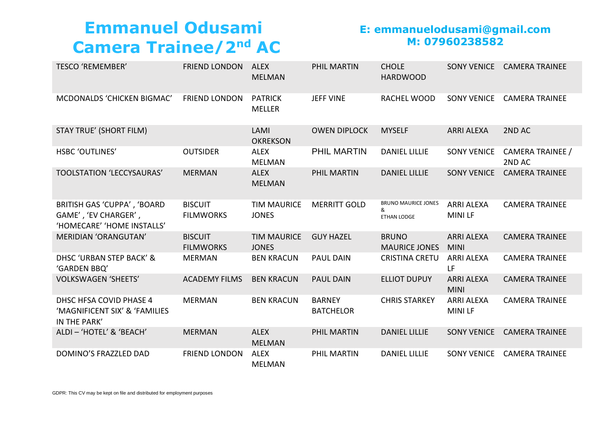# **Emmanuel Odusami Camera Trainee/2nd AC**

#### **E: emmanuelodusami@gmail.com M: 07960238582**

| <b>TESCO 'REMEMBER'</b>                                                           | <b>FRIEND LONDON</b>               | <b>ALEX</b><br><b>MELMAN</b>       | PHIL MARTIN                       | <b>CHOLE</b><br><b>HARDWOOD</b>                | <b>SONY VENICE</b>                 | <b>CAMERA TRAINEE</b>      |
|-----------------------------------------------------------------------------------|------------------------------------|------------------------------------|-----------------------------------|------------------------------------------------|------------------------------------|----------------------------|
| MCDONALDS 'CHICKEN BIGMAC'                                                        | <b>FRIEND LONDON</b>               | <b>PATRICK</b><br><b>MELLER</b>    | <b>JEFF VINE</b>                  | RACHEL WOOD                                    | <b>SONY VENICE</b>                 | <b>CAMERA TRAINEE</b>      |
| <b>STAY TRUE' (SHORT FILM)</b>                                                    |                                    | LAMI<br><b>OKREKSON</b>            | <b>OWEN DIPLOCK</b>               | <b>MYSELF</b>                                  | <b>ARRI ALEXA</b>                  | 2ND AC                     |
| <b>HSBC 'OUTLINES'</b>                                                            | <b>OUTSIDER</b>                    | <b>ALEX</b><br><b>MELMAN</b>       | <b>PHIL MARTIN</b>                | <b>DANIEL LILLIE</b>                           | <b>SONY VENICE</b>                 | CAMERA TRAINEE /<br>2ND AC |
| <b>TOOLSTATION 'LECCYSAURAS'</b>                                                  | <b>MERMAN</b>                      | <b>ALEX</b><br><b>MELMAN</b>       | PHIL MARTIN                       | <b>DANIEL LILLIE</b>                           | <b>SONY VENICE</b>                 | <b>CAMERA TRAINEE</b>      |
| BRITISH GAS 'CUPPA', 'BOARD<br>GAME', 'EV CHARGER',<br>'HOMECARE' 'HOME INSTALLS' | <b>BISCUIT</b><br><b>FILMWORKS</b> | <b>TIM MAURICE</b><br><b>JONES</b> | <b>MERRITT GOLD</b>               | <b>BRUNO MAURICE JONES</b><br>&<br>ETHAN LODGE | <b>ARRI ALEXA</b><br><b>MINILF</b> | <b>CAMERA TRAINEE</b>      |
| <b>MERIDIAN 'ORANGUTAN'</b>                                                       | <b>BISCUIT</b><br><b>FILMWORKS</b> | <b>TIM MAURICE</b><br><b>JONES</b> | <b>GUY HAZEL</b>                  | <b>BRUNO</b><br><b>MAURICE JONES</b>           | <b>ARRI ALEXA</b><br><b>MINI</b>   | <b>CAMERA TRAINEE</b>      |
| DHSC 'URBAN STEP BACK' &<br>'GARDEN BBQ'                                          | <b>MERMAN</b>                      | <b>BEN KRACUN</b>                  | <b>PAUL DAIN</b>                  | <b>CRISTINA CRETU</b>                          | <b>ARRI ALEXA</b><br>LF            | <b>CAMERA TRAINEE</b>      |
| <b>VOLKSWAGEN 'SHEETS'</b>                                                        | <b>ACADEMY FILMS</b>               | <b>BEN KRACUN</b>                  | <b>PAUL DAIN</b>                  | <b>ELLIOT DUPUY</b>                            | <b>ARRI ALEXA</b><br><b>MINI</b>   | <b>CAMERA TRAINEE</b>      |
| DHSC HFSA COVID PHASE 4<br>'MAGNIFICENT SIX' & 'FAMILIES<br>IN THE PARK'          | <b>MERMAN</b>                      | <b>BEN KRACUN</b>                  | <b>BARNEY</b><br><b>BATCHELOR</b> | <b>CHRIS STARKEY</b>                           | <b>ARRI ALEXA</b><br><b>MINILF</b> | <b>CAMERA TRAINEE</b>      |
| ALDI - 'HOTEL' & 'BEACH'                                                          | <b>MERMAN</b>                      | <b>ALEX</b><br><b>MELMAN</b>       | PHIL MARTIN                       | <b>DANIEL LILLIE</b>                           | <b>SONY VENICE</b>                 | <b>CAMERA TRAINEE</b>      |
| DOMINO'S FRAZZLED DAD                                                             | <b>FRIEND LONDON</b>               | <b>ALEX</b><br><b>MELMAN</b>       | PHIL MARTIN                       | <b>DANIEL LILLIE</b>                           | <b>SONY VENICE</b>                 | <b>CAMERA TRAINEE</b>      |